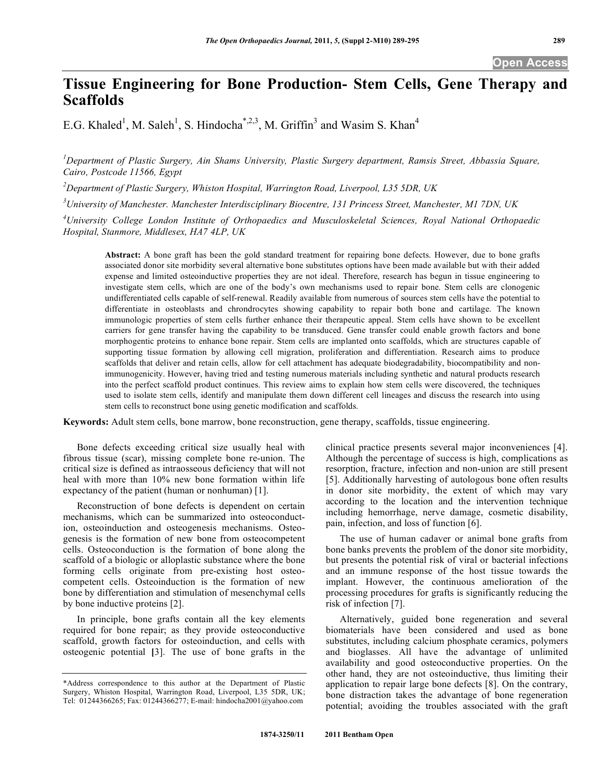# **Tissue Engineering for Bone Production- Stem Cells, Gene Therapy and Scaffolds**

E.G. Khaled<sup>1</sup>, M. Saleh<sup>1</sup>, S. Hindocha<sup>\*,2,3</sup>, M. Griffin<sup>3</sup> and Wasim S. Khan<sup>4</sup>

*1 Department of Plastic Surgery, Ain Shams University, Plastic Surgery department, Ramsis Street, Abbassia Square, Cairo, Postcode 11566, Egypt* 

*2 Department of Plastic Surgery, Whiston Hospital, Warrington Road, Liverpool, L35 5DR, UK* 

*3 University of Manchester. Manchester Interdisciplinary Biocentre, 131 Princess Street, Manchester, M1 7DN, UK* 

*4 University College London Institute of Orthopaedics and Musculoskeletal Sciences, Royal National Orthopaedic Hospital, Stanmore, Middlesex, HA7 4LP, UK* 

**Abstract:** A bone graft has been the gold standard treatment for repairing bone defects. However, due to bone grafts associated donor site morbidity several alternative bone substitutes options have been made available but with their added expense and limited osteoinductive properties they are not ideal. Therefore, research has begun in tissue engineering to investigate stem cells, which are one of the body's own mechanisms used to repair bone. Stem cells are clonogenic undifferentiated cells capable of self-renewal. Readily available from numerous of sources stem cells have the potential to differentiate in osteoblasts and chrondrocytes showing capability to repair both bone and cartilage. The known immunologic properties of stem cells further enhance their therapeutic appeal. Stem cells have shown to be excellent carriers for gene transfer having the capability to be transduced. Gene transfer could enable growth factors and bone morphogentic proteins to enhance bone repair. Stem cells are implanted onto scaffolds, which are structures capable of supporting tissue formation by allowing cell migration, proliferation and differentiation. Research aims to produce scaffolds that deliver and retain cells, allow for cell attachment has adequate biodegradability, biocompatibility and nonimmunogenicity. However, having tried and testing numerous materials including synthetic and natural products research into the perfect scaffold product continues. This review aims to explain how stem cells were discovered, the techniques used to isolate stem cells, identify and manipulate them down different cell lineages and discuss the research into using stem cells to reconstruct bone using genetic modification and scaffolds.

**Keywords:** Adult stem cells, bone marrow, bone reconstruction, gene therapy, scaffolds, tissue engineering.

 Bone defects exceeding critical size usually heal with fibrous tissue (scar), missing complete bone re-union. The critical size is defined as intraosseous deficiency that will not heal with more than 10% new bone formation within life expectancy of the patient (human or nonhuman) [1].

 Reconstruction of bone defects is dependent on certain mechanisms, which can be summarized into osteoconduction, osteoinduction and osteogenesis mechanisms. Osteogenesis is the formation of new bone from osteocompetent cells. Osteoconduction is the formation of bone along the scaffold of a biologic or alloplastic substance where the bone forming cells originate from pre-existing host osteocompetent cells. Osteoinduction is the formation of new bone by differentiation and stimulation of mesenchymal cells by bone inductive proteins [2].

 In principle, bone grafts contain all the key elements required for bone repair; as they provide osteoconductive scaffold, growth factors for osteoinduction, and cells with osteogenic potential **[**3]. The use of bone grafts in the clinical practice presents several major inconveniences [4]. Although the percentage of success is high, complications as resorption, fracture, infection and non-union are still present [5]. Additionally harvesting of autologous bone often results in donor site morbidity, the extent of which may vary according to the location and the intervention technique including hemorrhage, nerve damage, cosmetic disability, pain, infection, and loss of function [6].

 The use of human cadaver or animal bone grafts from bone banks prevents the problem of the donor site morbidity, but presents the potential risk of viral or bacterial infections and an immune response of the host tissue towards the implant. However, the continuous amelioration of the processing procedures for grafts is significantly reducing the risk of infection [7].

 Alternatively, guided bone regeneration and several biomaterials have been considered and used as bone substitutes, including calcium phosphate ceramics, polymers and bioglasses. All have the advantage of unlimited availability and good osteoconductive properties. On the other hand, they are not osteoinductive, thus limiting their application to repair large bone defects [8]. On the contrary, bone distraction takes the advantage of bone regeneration potential; avoiding the troubles associated with the graft

<sup>\*</sup>Address correspondence to this author at the Department of Plastic Surgery, Whiston Hospital, Warrington Road, Liverpool, L35 5DR, UK; Tel: 01244366265; Fax: 01244366277; E-mail: hindocha2001@yahoo.com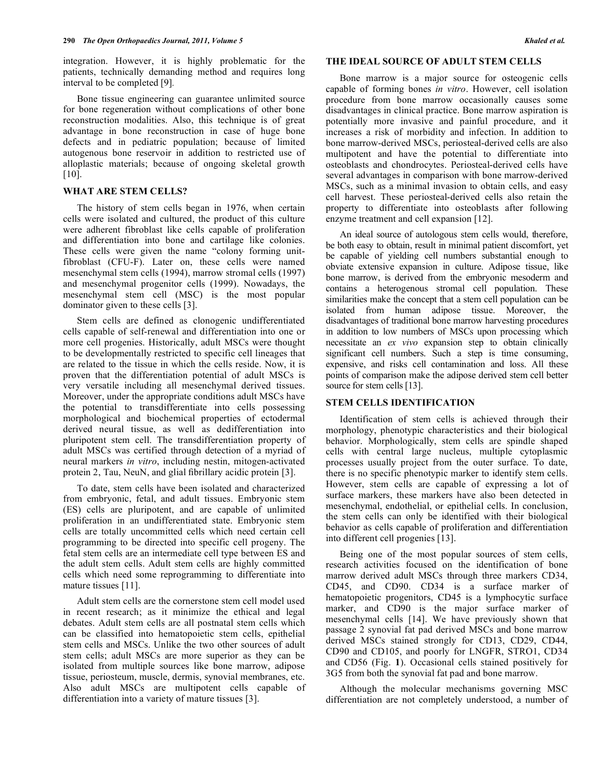integration. However, it is highly problematic for the patients, technically demanding method and requires long interval to be completed [9]*.*

 Bone tissue engineering can guarantee unlimited source for bone regeneration without complications of other bone reconstruction modalities. Also, this technique is of great advantage in bone reconstruction in case of huge bone defects and in pediatric population; because of limited autogenous bone reservoir in addition to restricted use of alloplastic materials; because of ongoing skeletal growth [10].

### **WHAT ARE STEM CELLS?**

 The history of stem cells began in 1976, when certain cells were isolated and cultured, the product of this culture were adherent fibroblast like cells capable of proliferation and differentiation into bone and cartilage like colonies. These cells were given the name "colony forming unitfibroblast (CFU-F). Later on, these cells were named mesenchymal stem cells (1994), marrow stromal cells (1997) and mesenchymal progenitor cells (1999). Nowadays, the mesenchymal stem cell (MSC) is the most popular dominator given to these cells [3].

 Stem cells are defined as clonogenic undifferentiated cells capable of self-renewal and differentiation into one or more cell progenies. Historically, adult MSCs were thought to be developmentally restricted to specific cell lineages that are related to the tissue in which the cells reside. Now, it is proven that the differentiation potential of adult MSCs is very versatile including all mesenchymal derived tissues. Moreover, under the appropriate conditions adult MSCs have the potential to transdifferentiate into cells possessing morphological and biochemical properties of ectodermal derived neural tissue, as well as dedifferentiation into pluripotent stem cell. The transdifferentiation property of adult MSCs was certified through detection of a myriad of neural markers *in vitro*, including nestin, mitogen-activated protein 2, Tau, NeuN, and glial fibrillary acidic protein [3].

 To date, stem cells have been isolated and characterized from embryonic, fetal, and adult tissues. Embryonic stem (ES) cells are pluripotent, and are capable of unlimited proliferation in an undifferentiated state. Embryonic stem cells are totally uncommitted cells which need certain cell programming to be directed into specific cell progeny. The fetal stem cells are an intermediate cell type between ES and the adult stem cells. Adult stem cells are highly committed cells which need some reprogramming to differentiate into mature tissues [11].

 Adult stem cells are the cornerstone stem cell model used in recent research; as it minimize the ethical and legal debates. Adult stem cells are all postnatal stem cells which can be classified into hematopoietic stem cells, epithelial stem cells and MSCs. Unlike the two other sources of adult stem cells; adult MSCs are more superior as they can be isolated from multiple sources like bone marrow, adipose tissue, periosteum, muscle, dermis, synovial membranes, etc. Also adult MSCs are multipotent cells capable of differentiation into a variety of mature tissues [3].

# **THE IDEAL SOURCE OF ADULT STEM CELLS**

 Bone marrow is a major source for osteogenic cells capable of forming bones *in vitro*. However, cell isolation procedure from bone marrow occasionally causes some disadvantages in clinical practice. Bone marrow aspiration is potentially more invasive and painful procedure, and it increases a risk of morbidity and infection. In addition to bone marrow-derived MSCs, periosteal-derived cells are also multipotent and have the potential to differentiate into osteoblasts and chondrocytes. Periosteal-derived cells have several advantages in comparison with bone marrow-derived MSCs, such as a minimal invasion to obtain cells, and easy cell harvest. These periosteal-derived cells also retain the property to differentiate into osteoblasts after following enzyme treatment and cell expansion [12].

 An ideal source of autologous stem cells would, therefore, be both easy to obtain, result in minimal patient discomfort, yet be capable of yielding cell numbers substantial enough to obviate extensive expansion in culture. Adipose tissue, like bone marrow, is derived from the embryonic mesoderm and contains a heterogenous stromal cell population. These similarities make the concept that a stem cell population can be isolated from human adipose tissue. Moreover, the disadvantages of traditional bone marrow harvesting procedures in addition to low numbers of MSCs upon processing which necessitate an *ex vivo* expansion step to obtain clinically significant cell numbers. Such a step is time consuming, expensive, and risks cell contamination and loss. All these points of comparison make the adipose derived stem cell better source for stem cells [13].

## **STEM CELLS IDENTIFICATION**

 Identification of stem cells is achieved through their morphology, phenotypic characteristics and their biological behavior. Morphologically, stem cells are spindle shaped cells with central large nucleus, multiple cytoplasmic processes usually project from the outer surface. To date, there is no specific phenotypic marker to identify stem cells. However, stem cells are capable of expressing a lot of surface markers, these markers have also been detected in mesenchymal, endothelial, or epithelial cells. In conclusion, the stem cells can only be identified with their biological behavior as cells capable of proliferation and differentiation into different cell progenies [13].

 Being one of the most popular sources of stem cells, research activities focused on the identification of bone marrow derived adult MSCs through three markers CD34, CD45, and CD90. CD34 is a surface marker of hematopoietic progenitors, CD45 is a lymphocytic surface marker, and CD90 is the major surface marker of mesenchymal cells [14]. We have previously shown that passage 2 synovial fat pad derived MSCs and bone marrow derived MSCs stained strongly for CD13, CD29, CD44, CD90 and CD105, and poorly for LNGFR, STRO1, CD34 and CD56 (Fig. **1**). Occasional cells stained positively for 3G5 from both the synovial fat pad and bone marrow.

 Although the molecular mechanisms governing MSC differentiation are not completely understood, a number of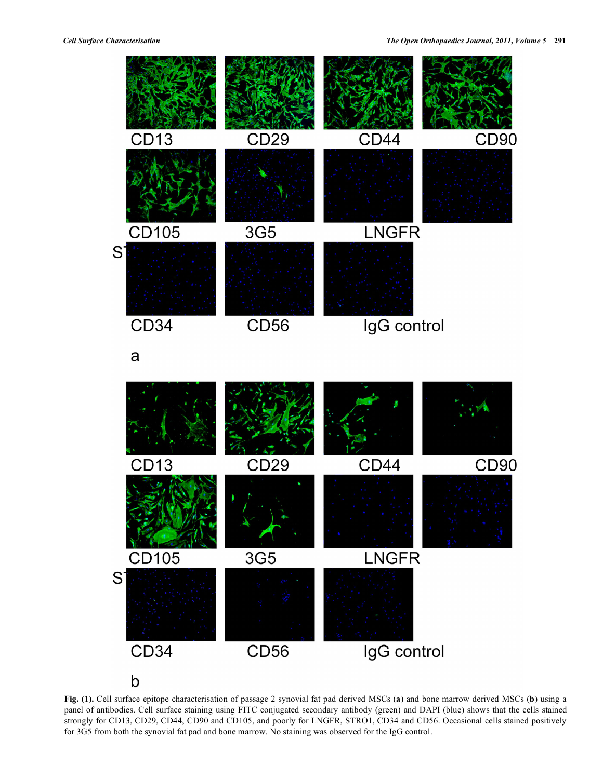

a



**Fig. (1).** Cell surface epitope characterisation of passage 2 synovial fat pad derived MSCs (**a**) and bone marrow derived MSCs (**b**) using a panel of antibodies. Cell surface staining using FITC conjugated secondary antibody (green) and DAPI (blue) shows that the cells stained strongly for CD13, CD29, CD44, CD90 and CD105, and poorly for LNGFR, STRO1, CD34 and CD56. Occasional cells stained positively for 3G5 from both the synovial fat pad and bone marrow. No staining was observed for the IgG control.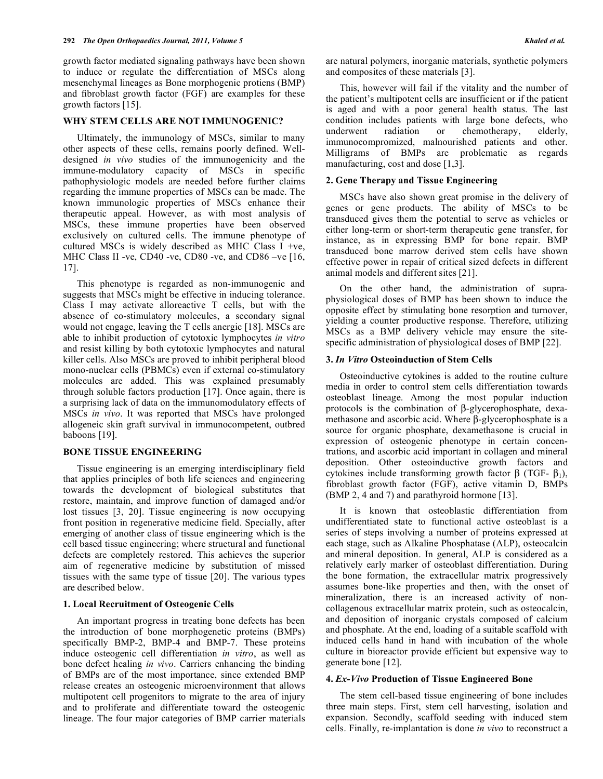growth factor mediated signaling pathways have been shown to induce or regulate the differentiation of MSCs along mesenchymal lineages as Bone morphogenic protiens (BMP) and fibroblast growth factor (FGF) are examples for these growth factors [15].

## **WHY STEM CELLS ARE NOT IMMUNOGENIC?**

 Ultimately, the immunology of MSCs, similar to many other aspects of these cells, remains poorly defined. Welldesigned *in vivo* studies of the immunogenicity and the immune-modulatory capacity of MSCs in specific pathophysiologic models are needed before further claims regarding the immune properties of MSCs can be made. The known immunologic properties of MSCs enhance their therapeutic appeal. However, as with most analysis of MSCs, these immune properties have been observed exclusively on cultured cells. The immune phenotype of cultured MSCs is widely described as MHC Class I +ve, MHC Class II -ve, CD40 -ve, CD80 -ve, and CD86 -ve [16, 17].

 This phenotype is regarded as non-immunogenic and suggests that MSCs might be effective in inducing tolerance. Class I may activate alloreactive T cells, but with the absence of co-stimulatory molecules, a secondary signal would not engage, leaving the T cells anergic [18]. MSCs are able to inhibit production of cytotoxic lymphocytes *in vitro* and resist killing by both cytotoxic lymphocytes and natural killer cells. Also MSCs are proved to inhibit peripheral blood mono-nuclear cells (PBMCs) even if external co-stimulatory molecules are added. This was explained presumably through soluble factors production [17]. Once again, there is a surprising lack of data on the immunomodulatory effects of MSCs *in vivo*. It was reported that MSCs have prolonged allogeneic skin graft survival in immunocompetent, outbred baboons [19].

#### **BONE TISSUE ENGINEERING**

 Tissue engineering is an emerging interdisciplinary field that applies principles of both life sciences and engineering towards the development of biological substitutes that restore, maintain, and improve function of damaged and/or lost tissues [3, 20]. Tissue engineering is now occupying front position in regenerative medicine field. Specially, after emerging of another class of tissue engineering which is the cell based tissue engineering; where structural and functional defects are completely restored. This achieves the superior aim of regenerative medicine by substitution of missed tissues with the same type of tissue [20]. The various types are described below.

### **1. Local Recruitment of Osteogenic Cells**

 An important progress in treating bone defects has been the introduction of bone morphogenetic proteins (BMPs) specifically BMP-2, BMP-4 and BMP-7. These proteins induce osteogenic cell differentiation *in vitro*, as well as bone defect healing *in vivo*. Carriers enhancing the binding of BMPs are of the most importance, since extended BMP release creates an osteogenic microenvironment that allows multipotent cell progenitors to migrate to the area of injury and to proliferate and differentiate toward the osteogenic lineage. The four major categories of BMP carrier materials

are natural polymers, inorganic materials, synthetic polymers and composites of these materials [3].

 This, however will fail if the vitality and the number of the patient's multipotent cells are insufficient or if the patient is aged and with a poor general health status. The last condition includes patients with large bone defects, who underwent radiation or chemotherapy, elderly, immunocompromized, malnourished patients and other. Milligrams of BMPs are problematic as regards manufacturing, cost and dose [1,3].

# **2. Gene Therapy and Tissue Engineering**

 MSCs have also shown great promise in the delivery of genes or gene products. The ability of MSCs to be transduced gives them the potential to serve as vehicles or either long-term or short-term therapeutic gene transfer, for instance, as in expressing BMP for bone repair. BMP transduced bone marrow derived stem cells have shown effective power in repair of critical sized defects in different animal models and different sites [21].

 On the other hand, the administration of supraphysiological doses of BMP has been shown to induce the opposite effect by stimulating bone resorption and turnover, yielding a counter productive response. Therefore, utilizing MSCs as a BMP delivery vehicle may ensure the sitespecific administration of physiological doses of BMP [22].

#### **3.** *In Vitro* **Osteoinduction of Stem Cells**

 Osteoinductive cytokines is added to the routine culture media in order to control stem cells differentiation towards osteoblast lineage. Among the most popular induction protocols is the combination of  $\beta$ -glycerophosphate, dexamethasone and ascorbic acid. Where  $\beta$ -glycerophosphate is a source for organic phosphate, dexamethasone is crucial in expression of osteogenic phenotype in certain concentrations, and ascorbic acid important in collagen and mineral deposition. Other osteoinductive growth factors and cytokines include transforming growth factor  $\beta$  (TGF-  $\beta_1$ ), fibroblast growth factor (FGF), active vitamin D, BMPs (BMP 2, 4 and 7) and parathyroid hormone [13].

 It is known that osteoblastic differentiation from undifferentiated state to functional active osteoblast is a series of steps involving a number of proteins expressed at each stage, such as Alkaline Phosphatase (ALP), osteocalcin and mineral deposition. In general, ALP is considered as a relatively early marker of osteoblast differentiation. During the bone formation, the extracellular matrix progressively assumes bone-like properties and then, with the onset of mineralization, there is an increased activity of noncollagenous extracellular matrix protein, such as osteocalcin, and deposition of inorganic crystals composed of calcium and phosphate. At the end, loading of a suitable scaffold with induced cells hand in hand with incubation of the whole culture in bioreactor provide efficient but expensive way to generate bone [12].

#### **4.** *Ex-Vivo* **Production of Tissue Engineered Bone**

 The stem cell-based tissue engineering of bone includes three main steps. First, stem cell harvesting, isolation and expansion. Secondly, scaffold seeding with induced stem cells. Finally, re-implantation is done *in vivo* to reconstruct a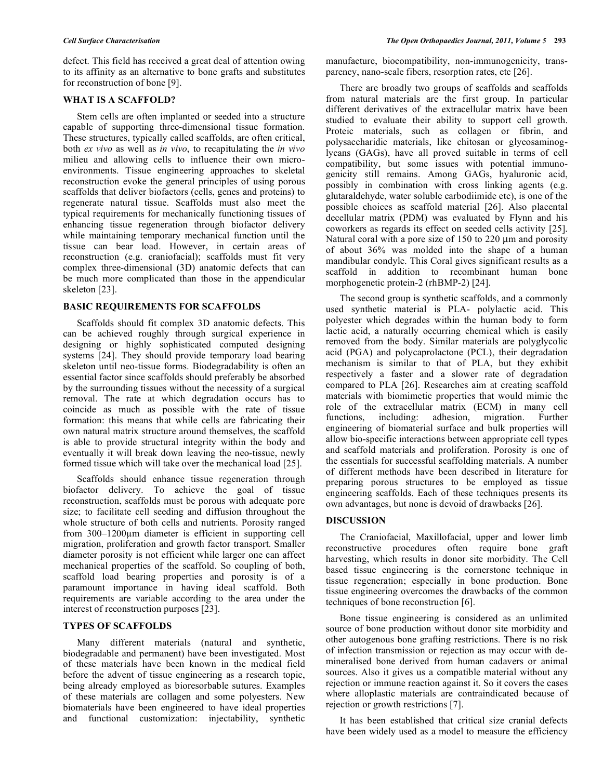defect. This field has received a great deal of attention owing to its affinity as an alternative to bone grafts and substitutes for reconstruction of bone [9].

# **WHAT IS A SCAFFOLD?**

 Stem cells are often implanted or seeded into a structure capable of supporting three-dimensional tissue formation. These structures, typically called scaffolds, are often critical, both *ex vivo* as well as *in vivo*, to recapitulating the *in vivo* milieu and allowing cells to influence their own microenvironments. Tissue engineering approaches to skeletal reconstruction evoke the general principles of using porous scaffolds that deliver biofactors (cells, genes and proteins) to regenerate natural tissue. Scaffolds must also meet the typical requirements for mechanically functioning tissues of enhancing tissue regeneration through biofactor delivery while maintaining temporary mechanical function until the tissue can bear load. However, in certain areas of reconstruction (e.g. craniofacial); scaffolds must fit very complex three-dimensional (3D) anatomic defects that can be much more complicated than those in the appendicular skeleton [23].

# **BASIC REQUIREMENTS FOR SCAFFOLDS**

 Scaffolds should fit complex 3D anatomic defects. This can be achieved roughly through surgical experience in designing or highly sophisticated computed designing systems [24]. They should provide temporary load bearing skeleton until neo-tissue forms. Biodegradability is often an essential factor since scaffolds should preferably be absorbed by the surrounding tissues without the necessity of a surgical removal. The rate at which degradation occurs has to coincide as much as possible with the rate of tissue formation: this means that while cells are fabricating their own natural matrix structure around themselves, the scaffold is able to provide structural integrity within the body and eventually it will break down leaving the neo-tissue, newly formed tissue which will take over the mechanical load [25].

 Scaffolds should enhance tissue regeneration through biofactor delivery. To achieve the goal of tissue reconstruction, scaffolds must be porous with adequate pore size; to facilitate cell seeding and diffusion throughout the whole structure of both cells and nutrients. Porosity ranged from 300–1200m diameter is efficient in supporting cell migration, proliferation and growth factor transport. Smaller diameter porosity is not efficient while larger one can affect mechanical properties of the scaffold. So coupling of both, scaffold load bearing properties and porosity is of a paramount importance in having ideal scaffold. Both requirements are variable according to the area under the interest of reconstruction purposes [23].

#### **TYPES OF SCAFFOLDS**

 Many different materials (natural and synthetic, biodegradable and permanent) have been investigated. Most of these materials have been known in the medical field before the advent of tissue engineering as a research topic, being already employed as bioresorbable sutures. Examples of these materials are collagen and some polyesters. New biomaterials have been engineered to have ideal properties and functional customization: injectability, synthetic

manufacture, biocompatibility, non-immunogenicity, transparency, nano-scale fibers, resorption rates, etc [26].

 There are broadly two groups of scaffolds and scaffolds from natural materials are the first group. In particular different derivatives of the extracellular matrix have been studied to evaluate their ability to support cell growth. Proteic materials, such as collagen or fibrin, and polysaccharidic materials, like chitosan or glycosaminoglycans (GAGs), have all proved suitable in terms of cell compatibility, but some issues with potential immunogenicity still remains. Among GAGs, hyaluronic acid, possibly in combination with cross linking agents (e.g. glutaraldehyde, water soluble carbodiimide etc), is one of the possible choices as scaffold material [26]. Also placental decellular matrix (PDM) was evaluated by Flynn and his coworkers as regards its effect on seeded cells activity [25]. Natural coral with a pore size of 150 to 220 μm and porosity of about 36% was molded into the shape of a human mandibular condyle. This Coral gives significant results as a scaffold in addition to recombinant human bone morphogenetic protein-2 (rhBMP-2) [24].

 The second group is synthetic scaffolds, and a commonly used synthetic material is PLA- polylactic acid. This polyester which degrades within the human body to form lactic acid, a naturally occurring chemical which is easily removed from the body. Similar materials are polyglycolic acid (PGA) and polycaprolactone (PCL), their degradation mechanism is similar to that of PLA, but they exhibit respectively a faster and a slower rate of degradation compared to PLA [26]. Researches aim at creating scaffold materials with biomimetic properties that would mimic the role of the extracellular matrix (ECM) in many cell functions, including: adhesion, migration. Further engineering of biomaterial surface and bulk properties will allow bio-specific interactions between appropriate cell types and scaffold materials and proliferation. Porosity is one of the essentials for successful scaffolding materials. A number of different methods have been described in literature for preparing porous structures to be employed as tissue engineering scaffolds. Each of these techniques presents its own advantages, but none is devoid of drawbacks [26].

# **DISCUSSION**

 The Craniofacial, Maxillofacial, upper and lower limb reconstructive procedures often require bone graft harvesting, which results in donor site morbidity. The Cell based tissue engineering is the cornerstone technique in tissue regeneration; especially in bone production. Bone tissue engineering overcomes the drawbacks of the common techniques of bone reconstruction [6].

 Bone tissue engineering is considered as an unlimited source of bone production without donor site morbidity and other autogenous bone grafting restrictions. There is no risk of infection transmission or rejection as may occur with demineralised bone derived from human cadavers or animal sources. Also it gives us a compatible material without any rejection or immune reaction against it. So it covers the cases where alloplastic materials are contraindicated because of rejection or growth restrictions [7].

 It has been established that critical size cranial defects have been widely used as a model to measure the efficiency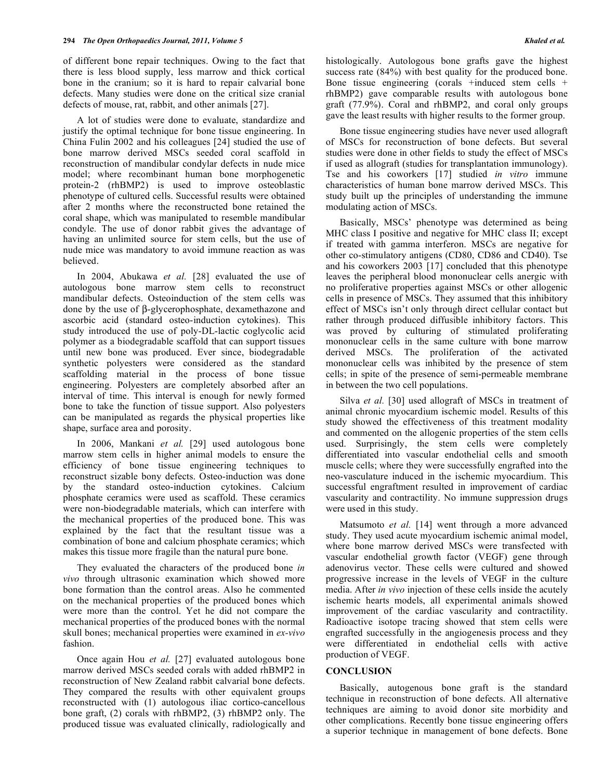of different bone repair techniques. Owing to the fact that there is less blood supply, less marrow and thick cortical bone in the cranium; so it is hard to repair calvarial bone defects. Many studies were done on the critical size cranial defects of mouse, rat, rabbit, and other animals [27].

 A lot of studies were done to evaluate, standardize and justify the optimal technique for bone tissue engineering. In China Fulin 2002 and his colleagues [24] studied the use of bone marrow derived MSCs seeded coral scaffold in reconstruction of mandibular condylar defects in nude mice model; where recombinant human bone morphogenetic protein-2 (rhBMP2) is used to improve osteoblastic phenotype of cultured cells. Successful results were obtained after 2 months where the reconstructed bone retained the coral shape, which was manipulated to resemble mandibular condyle. The use of donor rabbit gives the advantage of having an unlimited source for stem cells, but the use of nude mice was mandatory to avoid immune reaction as was believed.

 In 2004, Abukawa *et al.* [28] evaluated the use of autologous bone marrow stem cells to reconstruct mandibular defects. Osteoinduction of the stem cells was done by the use of  $\beta$ -glycerophosphate, dexamethazone and ascorbic acid (standard osteo-induction cytokines). This study introduced the use of poly-DL-lactic coglycolic acid polymer as a biodegradable scaffold that can support tissues until new bone was produced. Ever since, biodegradable synthetic polyesters were considered as the standard scaffolding material in the process of bone tissue engineering. Polyesters are completely absorbed after an interval of time. This interval is enough for newly formed bone to take the function of tissue support. Also polyesters can be manipulated as regards the physical properties like shape, surface area and porosity.

 In 2006, Mankani *et al.* [29] used autologous bone marrow stem cells in higher animal models to ensure the efficiency of bone tissue engineering techniques to reconstruct sizable bony defects. Osteo-induction was done by the standard osteo-induction cytokines. Calcium phosphate ceramics were used as scaffold. These ceramics were non-biodegradable materials, which can interfere with the mechanical properties of the produced bone. This was explained by the fact that the resultant tissue was a combination of bone and calcium phosphate ceramics; which makes this tissue more fragile than the natural pure bone.

 They evaluated the characters of the produced bone *in vivo* through ultrasonic examination which showed more bone formation than the control areas. Also he commented on the mechanical properties of the produced bones which were more than the control. Yet he did not compare the mechanical properties of the produced bones with the normal skull bones; mechanical properties were examined in *ex-vivo* fashion.

 Once again Hou *et al.* [27] evaluated autologous bone marrow derived MSCs seeded corals with added rhBMP2 in reconstruction of New Zealand rabbit calvarial bone defects. They compared the results with other equivalent groups reconstructed with (1) autologous iliac cortico-cancellous bone graft, (2) corals with rhBMP2, (3) rhBMP2 only. The produced tissue was evaluated clinically, radiologically and

 Bone tissue engineering studies have never used allograft of MSCs for reconstruction of bone defects. But several studies were done in other fields to study the effect of MSCs if used as allograft (studies for transplantation immunology). Tse and his coworkers [17] studied *in vitro* immune characteristics of human bone marrow derived MSCs. This study built up the principles of understanding the immune modulating action of MSCs.

 Basically, MSCs' phenotype was determined as being MHC class I positive and negative for MHC class II; except if treated with gamma interferon. MSCs are negative for other co-stimulatory antigens (CD80, CD86 and CD40). Tse and his coworkers 2003 [17] concluded that this phenotype leaves the peripheral blood mononuclear cells anergic with no proliferative properties against MSCs or other allogenic cells in presence of MSCs. They assumed that this inhibitory effect of MSCs isn't only through direct cellular contact but rather through produced diffusible inhibitory factors. This was proved by culturing of stimulated proliferating mononuclear cells in the same culture with bone marrow derived MSCs. The proliferation of the activated mononuclear cells was inhibited by the presence of stem cells; in spite of the presence of semi-permeable membrane in between the two cell populations.

Silva *et al.* [30] used allograft of MSCs in treatment of animal chronic myocardium ischemic model. Results of this study showed the effectiveness of this treatment modality and commented on the allogenic properties of the stem cells used. Surprisingly, the stem cells were completely differentiated into vascular endothelial cells and smooth muscle cells; where they were successfully engrafted into the neo-vasculature induced in the ischemic myocardium. This successful engraftment resulted in improvement of cardiac vascularity and contractility. No immune suppression drugs were used in this study.

Matsumoto *et al.* [14] went through a more advanced study. They used acute myocardium ischemic animal model, where bone marrow derived MSCs were transfected with vascular endothelial growth factor (VEGF) gene through adenovirus vector. These cells were cultured and showed progressive increase in the levels of VEGF in the culture media. After *in vivo* injection of these cells inside the acutely ischemic hearts models, all experimental animals showed improvement of the cardiac vascularity and contractility. Radioactive isotope tracing showed that stem cells were engrafted successfully in the angiogenesis process and they were differentiated in endothelial cells with active production of VEGF.

#### **CONCLUSION**

 Basically, autogenous bone graft is the standard technique in reconstruction of bone defects. All alternative techniques are aiming to avoid donor site morbidity and other complications. Recently bone tissue engineering offers a superior technique in management of bone defects. Bone